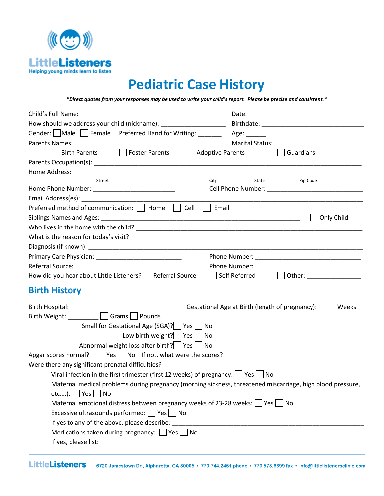

# **Pediatric Case History**

*\*Direct quotes from your responses may be used to write your child's report. Please be precise and consistent.\**

| How should we address your child (nickname): _______________________                                       |                                                                                                                                                                                                                                |
|------------------------------------------------------------------------------------------------------------|--------------------------------------------------------------------------------------------------------------------------------------------------------------------------------------------------------------------------------|
| Gender: Male Female Preferred Hand for Writing: ________ Age: ______                                       |                                                                                                                                                                                                                                |
|                                                                                                            | Marital Status: National Accounts and Accounts and Accounts and Accounts and Accounts and Accounts and Accounts and Accounts and Accounts and Accounts and Accounts and Accounts and Accounts and Accounts and Accounts and Ac |
| Birth Parents <b>Dela Foster Parents</b><br>Adoptive Parents                                               | Guardians                                                                                                                                                                                                                      |
|                                                                                                            |                                                                                                                                                                                                                                |
|                                                                                                            |                                                                                                                                                                                                                                |
| City<br>Street                                                                                             | State<br>Zip Code                                                                                                                                                                                                              |
| Home Phone Number: ______________________________                                                          | Cell Phone Number: National Phone Number:                                                                                                                                                                                      |
|                                                                                                            |                                                                                                                                                                                                                                |
| Cell<br>Email<br>Preferred method of communication:     Home                                               |                                                                                                                                                                                                                                |
|                                                                                                            | Only Child                                                                                                                                                                                                                     |
|                                                                                                            |                                                                                                                                                                                                                                |
|                                                                                                            |                                                                                                                                                                                                                                |
|                                                                                                            |                                                                                                                                                                                                                                |
|                                                                                                            |                                                                                                                                                                                                                                |
|                                                                                                            |                                                                                                                                                                                                                                |
| How did you hear about Little Listeners?     Referral Source                                               | Self Referred<br>Other: ____________________                                                                                                                                                                                   |
| <b>Birth History</b>                                                                                       |                                                                                                                                                                                                                                |
|                                                                                                            | Gestational Age at Birth (length of pregnancy): ______ Weeks                                                                                                                                                                   |
| Birth Weight: _________ Grams D Pounds                                                                     |                                                                                                                                                                                                                                |
| Small for Gestational Age (SGA)?   Yes   No                                                                |                                                                                                                                                                                                                                |
| Low birth weight? $\Box$ Yes $\Box$ No                                                                     |                                                                                                                                                                                                                                |
| Abnormal weight loss after birth? Yes No                                                                   |                                                                                                                                                                                                                                |
| Apgar scores normal? $\Box$ Yes $\Box$ No If not, what were the scores?                                    |                                                                                                                                                                                                                                |
| Were there any significant prenatal difficulties?                                                          |                                                                                                                                                                                                                                |
| Viral infection in the first trimester (first 12 weeks) of pregnancy: $\Box$ Yes $\Box$ No                 |                                                                                                                                                                                                                                |
| Maternal medical problems during pregnancy (morning sickness, threatened miscarriage, high blood pressure, |                                                                                                                                                                                                                                |
| $etc):$   Yes     No                                                                                       |                                                                                                                                                                                                                                |
| Maternal emotional distress between pregnancy weeks of 23-28 weeks: $\vert$ Yes $\vert$ No                 |                                                                                                                                                                                                                                |
| Excessive ultrasounds performed: □ Yes □ No                                                                |                                                                                                                                                                                                                                |
| If yes to any of the above, please describe:                                                               |                                                                                                                                                                                                                                |
| Medications taken during pregnancy: $\Box$ Yes $\Box$ No                                                   |                                                                                                                                                                                                                                |
| If yes, please list:                                                                                       |                                                                                                                                                                                                                                |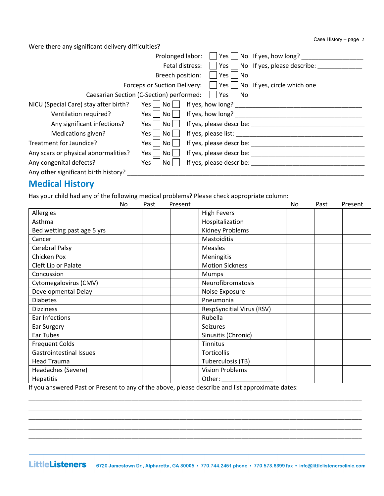Case History – page 2

Were there any significant delivery difficulties?

|                                       | Prolonged labor:<br>No If yes, how long?<br>Yes l                   |
|---------------------------------------|---------------------------------------------------------------------|
|                                       | Yes $\Box$ No If yes, please describe:<br>Fetal distress:           |
|                                       | Breech position:<br>Yes  <br>No                                     |
|                                       | Forceps or Suction Delivery:<br>Yes     No If yes, circle which one |
|                                       | Caesarian Section (C-Section) performed:     Yes     No             |
| NICU (Special Care) stay after birth? | If yes, how long?<br>Yes     No                                     |
| Ventilation required?                 | If yes, how long?<br>-No l<br>$Yes \mid \mid$                       |
| Any significant infections?           | If yes, please describe:<br>No l<br>Yes l                           |
| Medications given?                    | If yes, please list:<br>No l<br>$Yes \mid$                          |
| Treatment for Jaundice?               | If yes, please describe:<br>No<br>Yes l                             |
| Any scars or physical abnormalities?  | If yes, please describe:<br>No<br>Yes l                             |
| Any congenital defects?               | If yes, please describe:<br>No.<br>Yes l                            |
| Any other significant birth history?  |                                                                     |

#### **Medical History**

Has your child had any of the following medical problems? Please check appropriate column:

|                                | No | Past | Present |                                  | No | Past | Present |
|--------------------------------|----|------|---------|----------------------------------|----|------|---------|
| Allergies                      |    |      |         | <b>High Fevers</b>               |    |      |         |
| Asthma                         |    |      |         | Hospitalization                  |    |      |         |
| Bed wetting past age 5 yrs     |    |      |         | <b>Kidney Problems</b>           |    |      |         |
| Cancer                         |    |      |         | Mastoiditis                      |    |      |         |
| Cerebral Palsy                 |    |      |         | <b>Measles</b>                   |    |      |         |
| Chicken Pox                    |    |      |         | Meningitis                       |    |      |         |
| Cleft Lip or Palate            |    |      |         | <b>Motion Sickness</b>           |    |      |         |
| Concussion                     |    |      |         | Mumps                            |    |      |         |
| Cytomegalovirus (CMV)          |    |      |         | Neurofibromatosis                |    |      |         |
| Developmental Delay            |    |      |         | Noise Exposure                   |    |      |         |
| <b>Diabetes</b>                |    |      |         | Pneumonia                        |    |      |         |
| <b>Dizziness</b>               |    |      |         | <b>RespSyncitial Virus (RSV)</b> |    |      |         |
| Ear Infections                 |    |      |         | Rubella                          |    |      |         |
| Ear Surgery                    |    |      |         | <b>Seizures</b>                  |    |      |         |
| Ear Tubes                      |    |      |         | Sinusitis (Chronic)              |    |      |         |
| <b>Frequent Colds</b>          |    |      |         | <b>Tinnitus</b>                  |    |      |         |
| <b>Gastrointestinal Issues</b> |    |      |         | Torticollis                      |    |      |         |
| <b>Head Trauma</b>             |    |      |         | Tuberculosis (TB)                |    |      |         |
| Headaches (Severe)             |    |      |         | <b>Vision Problems</b>           |    |      |         |
| Hepatitis                      |    |      |         | Other:                           |    |      |         |

If you answered Past or Present to any of the above, please describe and list approximate dates:

\_\_\_\_\_\_\_\_\_\_\_\_\_\_\_\_\_\_\_\_\_\_\_\_\_\_\_\_\_\_\_\_\_\_\_\_\_\_\_\_\_\_\_\_\_\_\_\_\_\_\_\_\_\_\_\_\_\_\_\_\_\_\_\_\_\_\_\_\_\_\_\_\_\_\_\_\_\_\_\_\_\_\_\_\_\_\_\_\_\_\_\_\_\_\_\_\_ \_\_\_\_\_\_\_\_\_\_\_\_\_\_\_\_\_\_\_\_\_\_\_\_\_\_\_\_\_\_\_\_\_\_\_\_\_\_\_\_\_\_\_\_\_\_\_\_\_\_\_\_\_\_\_\_\_\_\_\_\_\_\_\_\_\_\_\_\_\_\_\_\_\_\_\_\_\_\_\_\_\_\_\_\_\_\_\_\_\_\_\_\_\_\_\_\_ \_\_\_\_\_\_\_\_\_\_\_\_\_\_\_\_\_\_\_\_\_\_\_\_\_\_\_\_\_\_\_\_\_\_\_\_\_\_\_\_\_\_\_\_\_\_\_\_\_\_\_\_\_\_\_\_\_\_\_\_\_\_\_\_\_\_\_\_\_\_\_\_\_\_\_\_\_\_\_\_\_\_\_\_\_\_\_\_\_\_\_\_\_\_\_\_\_ \_\_\_\_\_\_\_\_\_\_\_\_\_\_\_\_\_\_\_\_\_\_\_\_\_\_\_\_\_\_\_\_\_\_\_\_\_\_\_\_\_\_\_\_\_\_\_\_\_\_\_\_\_\_\_\_\_\_\_\_\_\_\_\_\_\_\_\_\_\_\_\_\_\_\_\_\_\_\_\_\_\_\_\_\_\_\_\_\_\_\_\_\_\_\_\_\_ \_\_\_\_\_\_\_\_\_\_\_\_\_\_\_\_\_\_\_\_\_\_\_\_\_\_\_\_\_\_\_\_\_\_\_\_\_\_\_\_\_\_\_\_\_\_\_\_\_\_\_\_\_\_\_\_\_\_\_\_\_\_\_\_\_\_\_\_\_\_\_\_\_\_\_\_\_\_\_\_\_\_\_\_\_\_\_\_\_\_\_\_\_\_\_\_\_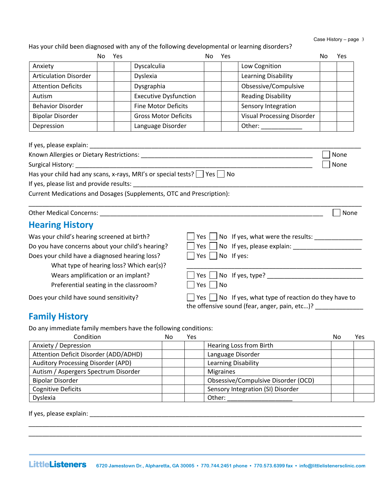Has your child been diagnosed with any of the following developmental or learning disorders?

|                              | No | Yes |                              | No | Yes |                                   | No | Yes |
|------------------------------|----|-----|------------------------------|----|-----|-----------------------------------|----|-----|
| Anxiety                      |    |     | Dyscalculia                  |    |     | Low Cognition                     |    |     |
| <b>Articulation Disorder</b> |    |     | Dyslexia                     |    |     | Learning Disability               |    |     |
| <b>Attention Deficits</b>    |    |     | Dysgraphia                   |    |     | Obsessive/Compulsive              |    |     |
| Autism                       |    |     | <b>Executive Dysfunction</b> |    |     | <b>Reading Disability</b>         |    |     |
| <b>Behavior Disorder</b>     |    |     | <b>Fine Motor Deficits</b>   |    |     | Sensory Integration               |    |     |
| <b>Bipolar Disorder</b>      |    |     | <b>Gross Motor Deficits</b>  |    |     | <b>Visual Processing Disorder</b> |    |     |
| Depression                   |    |     | Language Disorder            |    |     | Other:                            |    |     |

| If yes, please explain:                                                            |        |
|------------------------------------------------------------------------------------|--------|
| Known Allergies or Dietary Restrictions:                                           | None   |
| Surgical History: The Contract of the Surgical History:                            | l None |
| Has your child had any scans, x-rays, MRI's or special tests? $\Box$ Yes $\Box$ No |        |
| If yes, please list and provide results:                                           |        |
| Current Medications and Dosages (Supplements, OTC and Prescription):               |        |

Other Medical Concerns: \_\_\_\_\_\_\_\_\_\_\_\_\_\_\_\_\_\_\_\_\_\_\_\_\_\_\_\_\_\_\_\_\_\_\_\_\_\_\_\_\_\_\_\_\_\_\_\_\_\_\_\_\_\_\_\_\_\_\_\_\_\_\_\_\_ None

\_\_\_\_\_\_\_\_\_\_\_\_\_\_\_\_\_\_\_\_\_\_\_\_\_\_\_\_\_\_\_\_\_\_\_\_\_\_\_\_\_\_\_\_\_\_\_\_\_\_\_\_\_\_\_\_\_\_\_\_\_\_\_\_\_\_\_\_\_\_\_\_\_\_\_\_\_\_\_\_\_\_\_\_\_\_\_\_\_\_\_\_\_\_\_\_\_

#### **Hearing History**

Was your child's hearing screened at birth? Yes No If yes, what were the results: \_\_\_\_\_\_\_\_\_\_\_\_\_\_ Do you have concerns about your child's hearing? Yes No If yes, please explain: \_\_\_\_\_\_\_\_\_\_\_\_\_\_\_\_\_\_\_\_ Does your child have a diagnosed hearing loss?  $\Box$  Yes  $\Box$  No If yes: What type of hearing loss? Which ear(s)?

Wears amplification or an implant?

Preferential seating in the classroom?

Does your child have sound sensitivity?

| $\Box$ Yes $\Box$ No If yes, type?                                 |
|--------------------------------------------------------------------|
| $\Box$ Yes $\Box$ No                                               |
| $\Box$ Yes $\Box$ No If yes, what type of reaction do they have to |
| the offensive sound (fear, anger, pain, etc)?                      |

#### **Family History**

Do any immediate family members have the following conditions:

| Condition                             | No | Yes |                                     | No | Yes |
|---------------------------------------|----|-----|-------------------------------------|----|-----|
| Anxiety / Depression                  |    |     | Hearing Loss from Birth             |    |     |
| Attention Deficit Disorder (ADD/ADHD) |    |     | Language Disorder                   |    |     |
| Auditory Processing Disorder (APD)    |    |     | Learning Disability                 |    |     |
| Autism / Aspergers Spectrum Disorder  |    |     | <b>Migraines</b>                    |    |     |
| <b>Bipolar Disorder</b>               |    |     | Obsessive/Compulsive Disorder (OCD) |    |     |
| <b>Cognitive Deficits</b>             |    |     | Sensory Integration (SI) Disorder   |    |     |
| Dyslexia                              |    |     | Other:                              |    |     |

If yes, please explain: \_\_\_\_\_\_\_\_\_\_\_\_\_\_\_\_\_\_\_\_\_\_\_\_\_\_\_\_\_\_\_\_\_\_\_\_\_\_\_\_\_\_\_\_\_\_\_\_\_\_\_\_\_\_\_\_\_\_\_\_\_\_\_\_\_\_\_\_\_\_\_\_\_\_\_\_\_\_\_\_

\_\_\_\_\_\_\_\_\_\_\_\_\_\_\_\_\_\_\_\_\_\_\_\_\_\_\_\_\_\_\_\_\_\_\_\_\_\_\_\_\_\_\_\_\_\_\_\_\_\_\_\_\_\_\_\_\_\_\_\_\_\_\_\_\_\_\_\_\_\_\_\_\_\_\_\_\_\_\_\_\_\_\_\_\_\_\_\_\_\_\_\_\_\_\_\_\_ \_\_\_\_\_\_\_\_\_\_\_\_\_\_\_\_\_\_\_\_\_\_\_\_\_\_\_\_\_\_\_\_\_\_\_\_\_\_\_\_\_\_\_\_\_\_\_\_\_\_\_\_\_\_\_\_\_\_\_\_\_\_\_\_\_\_\_\_\_\_\_\_\_\_\_\_\_\_\_\_\_\_\_\_\_\_\_\_\_\_\_\_\_\_\_\_\_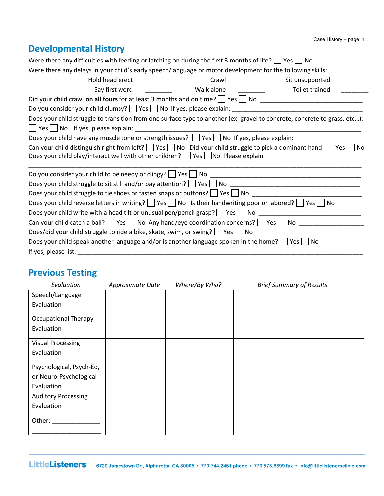## **Developmental History**

| Were there any difficulties with feeding or latching on during the first 3 months of life? $\vert \vert$ Yes $\vert \vert$ No       |            |                 |
|-------------------------------------------------------------------------------------------------------------------------------------|------------|-----------------|
| Were there any delays in your child's early speech/language or motor development for the following skills:                          |            |                 |
| Hold head erect                                                                                                                     | Crawl      | Sit unsupported |
| Say first word                                                                                                                      | Walk alone | Toilet trained  |
|                                                                                                                                     |            |                 |
| Do you consider your child clumsy? $\Box$ Yes $\Box$ No If yes, please explain: $\Box$                                              |            |                 |
| Does your child struggle to transition from one surface type to another (ex: gravel to concrete, concrete to grass, etc):           |            |                 |
| Yes     No If yes, please explain:                                                                                                  |            |                 |
| Does your child have any muscle tone or strength issues? $\Box$ Yes $\Box$ No If yes, please explain:                               |            |                 |
| Can your child distinguish right from left? $\Box$ Yes $\Box$ No Did your child struggle to pick a dominant hand: $\Box$ Yes $\Box$ |            | No.             |
|                                                                                                                                     |            |                 |
|                                                                                                                                     |            |                 |
|                                                                                                                                     |            |                 |
| Does your child struggle to tie shoes or fasten snaps or buttons? Ves No ___________________________                                |            |                 |
| Does your child reverse letters in writing? $\Box$ Yes $\Box$ No Is their handwriting poor or labored? $\Box$ Yes $\Box$ No         |            |                 |
| Does your child write with a head tilt or unusual pen/pencil grasp? $\Box$ Yes $\Box$ No $\Box$                                     |            |                 |
| Can your child catch a ball?   Yes   No Any hand/eye coordination concerns?   Yes   No                                              |            |                 |
| Does/did your child struggle to ride a bike, skate, swim, or swing? $\Box$ Yes $\Box$ No $\Box$                                     |            |                 |
| Does your child speak another language and/or is another language spoken in the home? $\Box$ Yes $\Box$ No                          |            |                 |
| If yes, please list:                                                                                                                |            |                 |

## **Previous Testing**

| Evaluation                  | Approximate Date | Where/By Who? | <b>Brief Summary of Results</b> |
|-----------------------------|------------------|---------------|---------------------------------|
| Speech/Language             |                  |               |                                 |
| Evaluation                  |                  |               |                                 |
| <b>Occupational Therapy</b> |                  |               |                                 |
| Evaluation                  |                  |               |                                 |
| <b>Visual Processing</b>    |                  |               |                                 |
| Evaluation                  |                  |               |                                 |
| Psychological, Psych-Ed,    |                  |               |                                 |
| or Neuro-Psychological      |                  |               |                                 |
| Evaluation                  |                  |               |                                 |
| <b>Auditory Processing</b>  |                  |               |                                 |
| Evaluation                  |                  |               |                                 |
| Other:                      |                  |               |                                 |
|                             |                  |               |                                 |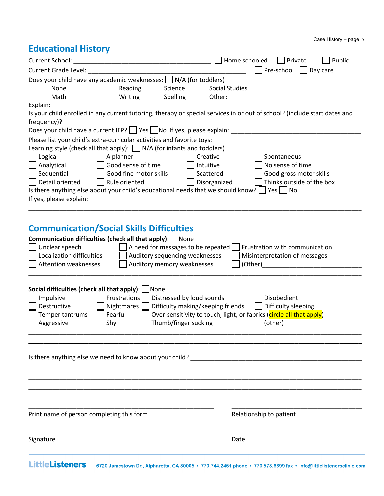## **Educational History**

| Current School:                                                                                                                                                                                                                                                                                                                                                                                                                                                                                                                                                                                       | Home schooled<br>Private<br>Public                                                                                                                                                                                                                                                                                                          |
|-------------------------------------------------------------------------------------------------------------------------------------------------------------------------------------------------------------------------------------------------------------------------------------------------------------------------------------------------------------------------------------------------------------------------------------------------------------------------------------------------------------------------------------------------------------------------------------------------------|---------------------------------------------------------------------------------------------------------------------------------------------------------------------------------------------------------------------------------------------------------------------------------------------------------------------------------------------|
| Current Grade Level: National Action of the Current Care and Action of the Current Current Current Current Curr                                                                                                                                                                                                                                                                                                                                                                                                                                                                                       | Pre-school $  $<br>Day care                                                                                                                                                                                                                                                                                                                 |
| Does your child have any academic weaknesses: $\Box$ N/A (for toddlers)                                                                                                                                                                                                                                                                                                                                                                                                                                                                                                                               |                                                                                                                                                                                                                                                                                                                                             |
| None<br>Reading<br>Science                                                                                                                                                                                                                                                                                                                                                                                                                                                                                                                                                                            | <b>Social Studies</b>                                                                                                                                                                                                                                                                                                                       |
| Math<br>Writing<br><b>Spelling</b>                                                                                                                                                                                                                                                                                                                                                                                                                                                                                                                                                                    |                                                                                                                                                                                                                                                                                                                                             |
| Explain:                                                                                                                                                                                                                                                                                                                                                                                                                                                                                                                                                                                              |                                                                                                                                                                                                                                                                                                                                             |
| Is your child enrolled in any current tutoring, therapy or special services in or out of school? (include start dates and<br>frequency)?                                                                                                                                                                                                                                                                                                                                                                                                                                                              |                                                                                                                                                                                                                                                                                                                                             |
| Does your child have a current IEP? See The off yes, please explain:                                                                                                                                                                                                                                                                                                                                                                                                                                                                                                                                  |                                                                                                                                                                                                                                                                                                                                             |
| Please list your child's extra-curricular activities and favorite toys:                                                                                                                                                                                                                                                                                                                                                                                                                                                                                                                               |                                                                                                                                                                                                                                                                                                                                             |
| Learning style (check all that apply): $\Box$ N/A (for infants and toddlers)<br>A planner<br>Logical<br>Creative<br>Good sense of time<br>Analytical<br>Intuitive<br>Good fine motor skills<br>Sequential<br>Scattered<br>Detail oriented<br>Rule oriented<br>Is there anything else about your child's educational needs that we should know? $\Box$ Yes $\Box$ No<br>If yes, please explain: Laterature and the set of the set of the set of the set of the set of the set of the set of the set of the set of the set of the set of the set of the set of the set of the set of the set of the set | Spontaneous<br>No sense of time<br>Good gross motor skills<br>Thinks outside of the box<br>Disorganized                                                                                                                                                                                                                                     |
|                                                                                                                                                                                                                                                                                                                                                                                                                                                                                                                                                                                                       |                                                                                                                                                                                                                                                                                                                                             |
|                                                                                                                                                                                                                                                                                                                                                                                                                                                                                                                                                                                                       |                                                                                                                                                                                                                                                                                                                                             |
| <b>Communication/Social Skills Difficulties</b><br><b>Communication difficulties (check all that apply):</b> None<br>Unclear speech<br>A need for messages to be repeated  <br>Localization difficulties<br>Auditory sequencing weaknesses<br><b>Attention weaknesses</b><br>Auditory memory weaknesses                                                                                                                                                                                                                                                                                               | Frustration with communication<br>Misinterpretation of messages<br>(Other) and the contract of the contract of the contract of the contract of the contract of the contract of the contract of the contract of the contract of the contract of the contract of the contract of the contract of th                                           |
|                                                                                                                                                                                                                                                                                                                                                                                                                                                                                                                                                                                                       |                                                                                                                                                                                                                                                                                                                                             |
| Social difficulties (check all that apply):<br> None<br>Impulsive<br>Frustrations<br>Distressed by loud sounds<br>Destructive<br>Nightmares<br>Difficulty making/keeping friends<br>Fearful<br>Temper tantrums<br>Thumb/finger sucking<br>Aggressive<br>Shy                                                                                                                                                                                                                                                                                                                                           | Disobedient<br>Difficulty sleeping<br>Over-sensitivity to touch, light, or fabrics (circle all that apply)<br>(other) and the control of the control of the control of the control of the control of the control of the control of the control of the control of the control of the control of the control of the control of the control of |
| Is there anything else we need to know about your child? The manner of the state of the state of the state of                                                                                                                                                                                                                                                                                                                                                                                                                                                                                         |                                                                                                                                                                                                                                                                                                                                             |
|                                                                                                                                                                                                                                                                                                                                                                                                                                                                                                                                                                                                       |                                                                                                                                                                                                                                                                                                                                             |
|                                                                                                                                                                                                                                                                                                                                                                                                                                                                                                                                                                                                       |                                                                                                                                                                                                                                                                                                                                             |
|                                                                                                                                                                                                                                                                                                                                                                                                                                                                                                                                                                                                       |                                                                                                                                                                                                                                                                                                                                             |
| Print name of person completing this form                                                                                                                                                                                                                                                                                                                                                                                                                                                                                                                                                             | Relationship to patient                                                                                                                                                                                                                                                                                                                     |
| Signature                                                                                                                                                                                                                                                                                                                                                                                                                                                                                                                                                                                             | Date                                                                                                                                                                                                                                                                                                                                        |
|                                                                                                                                                                                                                                                                                                                                                                                                                                                                                                                                                                                                       |                                                                                                                                                                                                                                                                                                                                             |

**LittleListeners** 6720 Jamestown Dr., Alpharetta, GA 30005 • 770.744.2451 phone • 770.573.6399 fax • info@littlelistenersclinic.com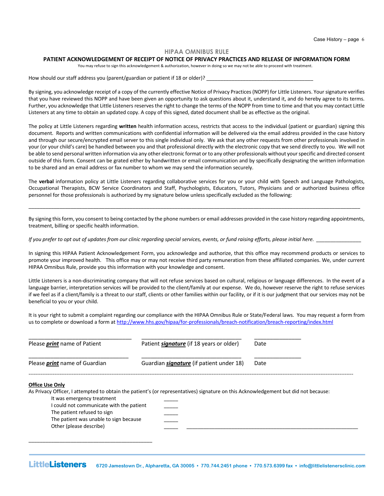#### **HIPAA OMNIBUS RULE**

#### **PATIENT ACKNOWLEDGEMENT OF RECEIPT OF NOTICE OF PRIVACY PRACTICES AND RELEASE OF INFORMATION FORM**

You may refuse to sign this acknowledgement & authorization, however in doing so we may not be able to proceed with treatment.

How should our staff address you (parent/guardian or patient if 18 or older)?

By signing, you acknowledge receipt of a copy of the currently effective Notice of Privacy Practices (NOPP) for Little Listeners. Your signature verifies that you have reviewed this NOPP and have been given an opportunity to ask questions about it, understand it, and do hereby agree to its terms. Further, you acknowledge that Little Listeners reserves the right to change the terms of the NOPP from time to time and that you may contact Little Listeners at any time to obtain an updated copy. A copy of this signed, dated document shall be as effective as the original.

The policy at Little Listeners regarding **written** health information access, restricts that access to the individual (patient or guardian) signing this document. Reports and written communications with confidential information will be delivered via the email address provided in the case history and through our secure/encrypted email server to this single individual only. We ask that any other requests from other professionals involved in your (or your child's care) be handled between you and that professional directly with the electronic copy that we send directly to you. We will not be able to send personal written information via any other electronic format or to any other professionals without your specific and directed consent outside of this form. Consent can be grated either by handwritten or email communication and by specifically designating the written information to be shared and an email address or fax number to whom we may send the information securely.

The **verbal** information policy at Little Listeners regarding collaborative services for you or your child with Speech and Language Pathologists, Occupational Therapists, BCW Service Coordinators and Staff, Psychologists, Educators, Tutors, Physicians and or authorized business office personnel for those professionals is authorized by my signature below unless specifically excluded as the following:

By signing this form, you consent to being contacted by the phone numbers or email addresses provided in the case history regarding appointments, treatment, billing or specific health information.

\_\_\_\_\_\_\_\_\_\_\_\_\_\_\_\_\_\_\_\_\_\_\_\_\_\_\_\_\_\_\_\_\_\_\_\_\_\_\_\_\_\_\_\_\_\_\_\_\_\_\_\_\_\_\_\_\_\_\_\_\_\_\_\_\_\_\_\_\_\_\_\_\_\_\_\_\_\_\_\_\_\_\_\_\_\_\_\_\_\_\_\_\_\_\_\_\_\_\_\_\_\_\_\_\_\_\_\_\_\_\_\_\_\_\_\_\_\_

*If you prefer to opt out of updates from our clinic regarding special services, events, or fund raising efforts, please initial here.* 

In signing this HIPAA Patient Acknowledgement Form, you acknowledge and authorize, that this office may recommend products or services to promote your improved health. This office may or may not receive third party remuneration from these affiliated companies. We, under current HIPAA Omnibus Rule, provide you this information with your knowledge and consent.

Little Listeners is a non-discriminating company that will not refuse services based on cultural, religious or language differences. In the event of a language barrier, interpretation services will be provided to the client/family at our expense. We do, however reserve the right to refuse services if we feel as if a client/family is a threat to our staff, clients or other families within our facility, or if it is our judgment that our services may not be beneficial to you or your child.

It is your right to submit a complaint regarding our compliance with the HIPAA Omnibus Rule or State/Federal laws. You may request a form from us to complete or download a form at http://www.hhs.gov/hipaa/for-professionals/breach-notification/breach-reporting/index.html

| Please <i>print</i> name of Patient  | Patient <i>signature</i> (if 18 years or older) | Date |
|--------------------------------------|-------------------------------------------------|------|
| Please <i>print</i> name of Guardian | Guardian <i>signature</i> (if patient under 18) | Date |
| <b>Office Use Only</b>               |                                                 |      |

Other (please describe)

\_\_\_\_\_\_\_\_\_\_\_\_\_\_\_\_\_\_\_\_\_\_\_\_\_\_\_\_\_\_\_\_\_\_\_\_\_\_\_\_\_\_\_\_

As Privacy Officer, I attempted to obtain the patient's (or representatives) signature on this Acknowledgement but did not because: It was emergency treatment I could not communicate with the patient The patient refused to sign The patient was unable to sign because